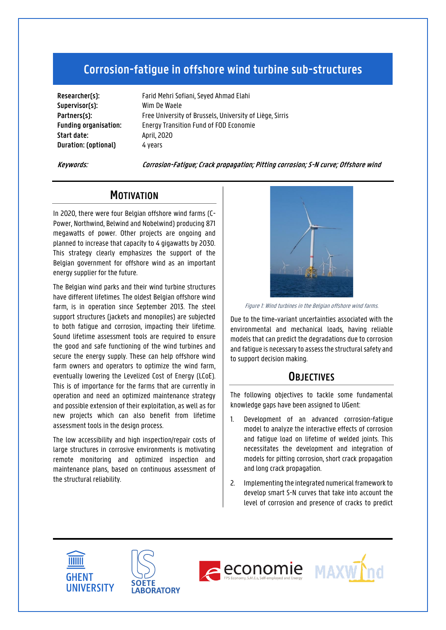# **Corrosion-fatigue in offshore wind turbine sub-structures**

**Supervisor(s):** Wim De Waele **Start date:** April, 2020 **Duration: (optional)** 4 years

**Researcher(s):** Farid Mehri Sofiani, Seyed Ahmad Elahi Partners(s): Free University of Brussels, University of Liège, Sirris **Funding organisation:** Energy Transition Fund of FOD Economie

**Keywords: Corrosion-Fatigue; Crack propagation; Pitting corrosion; S-N curve; Offshore wind**

## **MOTIVATION**

In 2020, there were four Belgian offshore wind farms (C-Power, Northwind, Belwind and Nobelwind) producing 871 megawatts of power. Other projects are ongoing and planned to increase that capacity to 4 gigawatts by 2030. This strategy clearly emphasizes the support of the Belgian government for offshore wind as an important energy supplier for the future.

The Belgian wind parks and their wind turbine structures have different lifetimes. The oldest Belgian offshore wind farm, is in operation since September 2013. The steel support structures (jackets and monopiles) are subjected to both fatigue and corrosion, impacting their lifetime. Sound lifetime assessment tools are required to ensure the good and safe functioning of the wind turbines and secure the energy supply. These can help offshore wind farm owners and operators to optimize the wind farm, eventually lowering the Levelized Cost of Energy (LCoE). This is of importance for the farms that are currently in operation and need an optimized maintenance strategy and possible extension of their exploitation, as well as for new projects which can also benefit from lifetime assessment tools in the design process.

The low accessibility and high inspection/repair costs of large structures in corrosive environments is motivating remote monitoring and optimized inspection and maintenance plans, based on continuous assessment of the structural reliability.



Figure 1: Wind turbines in the Belgian offshore wind farms.

Due to the time‐variant uncertainties associated with the environmental and mechanical loads, having reliable models that can predict the degradations due to corrosion and fatigue is necessary to assess the structural safety and to support decision making.

### **OBJECTIVES**

The following objectives to tackle some fundamental knowledge gaps have been assigned to UGent:

- 1. Development of an advanced corrosion-fatigue model to analyze the interactive effects of corrosion and fatigue load on lifetime of welded joints. This necessitates the development and integration of models for pitting corrosion, short crack propagation and long crack propagation.
- 2. Implementing the integrated numerical framework to develop smart S-N curves that take into account the level of corrosion and presence of cracks to predict